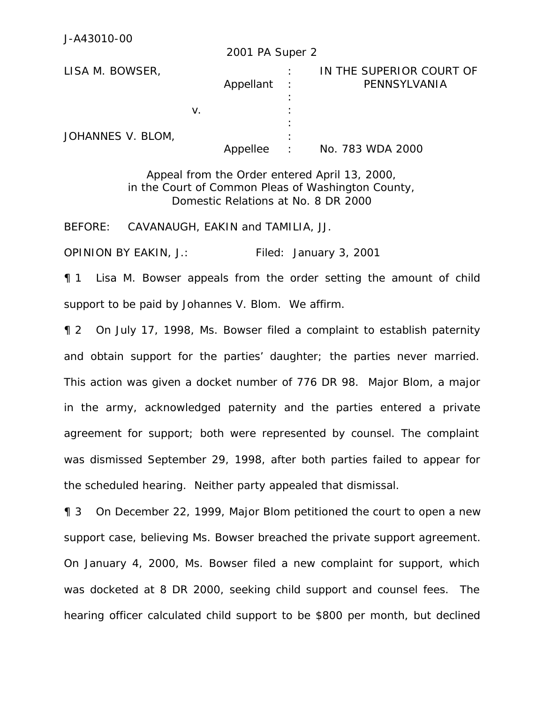|                   |    | 2001 PA Super 2 |                   |                                          |
|-------------------|----|-----------------|-------------------|------------------------------------------|
| LISA M. BOWSER,   |    | Appellant       | $\sim$ 1.         | IN THE SUPERIOR COURT OF<br>PENNSYLVANIA |
| JOHANNES V. BLOM, | v. |                 |                   |                                          |
|                   |    | Appellee        | ٠<br>$\therefore$ | No. 783 WDA 2000                         |

Appeal from the Order entered April 13, 2000, in the Court of Common Pleas of Washington County, Domestic Relations at No. 8 DR 2000

BEFORE: CAVANAUGH, EAKIN and TAMILIA, JJ.

OPINION BY EAKIN, J.: Filed: January 3, 2001

¶ 1 Lisa M. Bowser appeals from the order setting the amount of child support to be paid by Johannes V. Blom. We affirm.

¶ 2 On July 17, 1998, Ms. Bowser filed a complaint to establish paternity and obtain support for the parties' daughter; the parties never married. This action was given a docket number of 776 DR 98. Major Blom, a major in the army, acknowledged paternity and the parties entered a private agreement for support; both were represented by counsel. The complaint was dismissed September 29, 1998, after both parties failed to appear for the scheduled hearing. Neither party appealed that dismissal.

¶ 3 On December 22, 1999, Major Blom petitioned the court to open a new support case, believing Ms. Bowser breached the private support agreement. On January 4, 2000, Ms. Bowser filed a new complaint for support, which was docketed at 8 DR 2000, seeking child support and counsel fees. The hearing officer calculated child support to be \$800 per month, but declined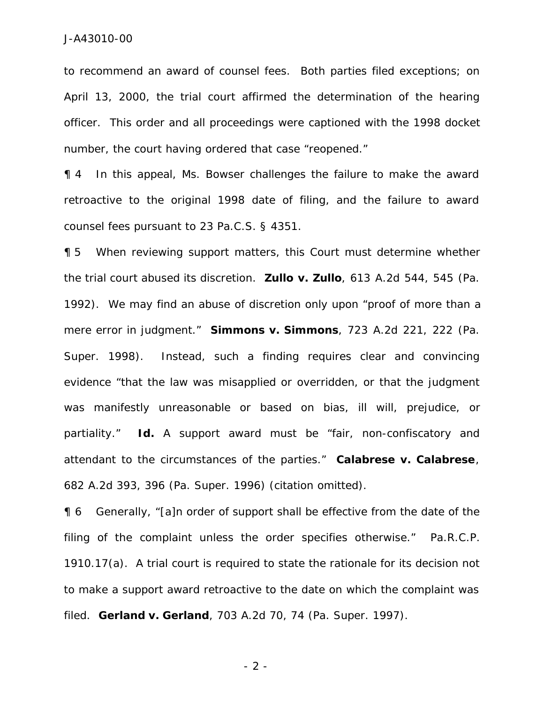to recommend an award of counsel fees. Both parties filed exceptions; on April 13, 2000, the trial court affirmed the determination of the hearing officer. This order and all proceedings were captioned with the 1998 docket number, the court having ordered that case "reopened."

¶ 4 In this appeal, Ms. Bowser challenges the failure to make the award retroactive to the original 1998 date of filing, and the failure to award counsel fees pursuant to 23 Pa.C.S. § 4351.

¶ 5 When reviewing support matters, this Court must determine whether the trial court abused its discretion. *Zullo v. Zullo*, 613 A.2d 544, 545 (Pa. 1992). We may find an abuse of discretion only upon "proof of more than a mere error in judgment." *Simmons v. Simmons*, 723 A.2d 221, 222 (Pa. Super. 1998). Instead, such a finding requires clear and convincing evidence "that the law was misapplied or overridden, or that the judgment was manifestly unreasonable or based on bias, ill will, prejudice, or partiality." *Id***.** A support award must be "fair, non-confiscatory and attendant to the circumstances of the parties." *Calabrese v. Calabrese*, 682 A.2d 393, 396 (Pa. Super. 1996) (citation omitted).

¶ 6 Generally, "[a]n order of support shall be effective from the date of the filing of the complaint unless the order specifies otherwise." Pa.R.C.P. 1910.17(a). A trial court is required to state the rationale for its decision not to make a support award retroactive to the date on which the complaint was filed. *Gerland v. Gerland*, 703 A.2d 70, 74 (Pa. Super. 1997).

- 2 -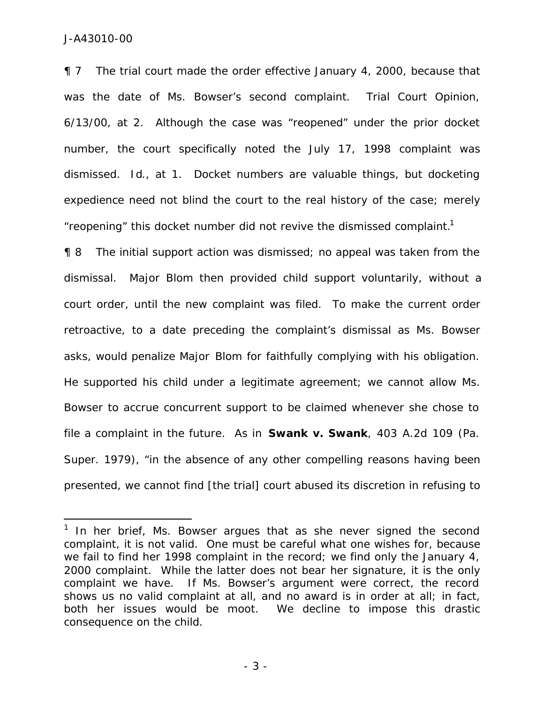$\overline{a}$ 

¶ 7 The trial court made the order effective January 4, 2000, because that was the date of Ms. Bowser's second complaint. Trial Court Opinion, 6/13/00, at 2. Although the case was "reopened" under the prior docket number, the court specifically noted the July 17, 1998 complaint was dismissed. *Id*., at 1. Docket numbers are valuable things, but docketing expedience need not blind the court to the real history of the case; merely "reopening" this docket number did not revive the dismissed complaint. $1$ 

¶ 8 The initial support action was dismissed; no appeal was taken from the dismissal. Major Blom then provided child support voluntarily, without a court order, until the new complaint was filed. To make the current order retroactive, to a date preceding the complaint's dismissal as Ms. Bowser asks, would penalize Major Blom for faithfully complying with his obligation. He supported his child under a legitimate agreement; we cannot allow Ms. Bowser to accrue concurrent support to be claimed whenever she chose to file a complaint in the future. As in *Swank v. Swank*, 403 A.2d 109 (Pa. Super. 1979), "in the absence of any other compelling reasons having been presented, we cannot find [the trial] court abused its discretion in refusing to

 $1$  In her brief, Ms. Bowser argues that as she never signed the second complaint, it is not valid. One must be careful what one wishes for, because we fail to find her 1998 complaint in the record; we find only the January 4, 2000 complaint. While the latter does not bear her signature, it is the only complaint we have. If Ms. Bowser's argument were correct, the record shows us no valid complaint at all, and no award is in order at all; in fact, both her issues would be moot. We decline to impose this drastic consequence on the child.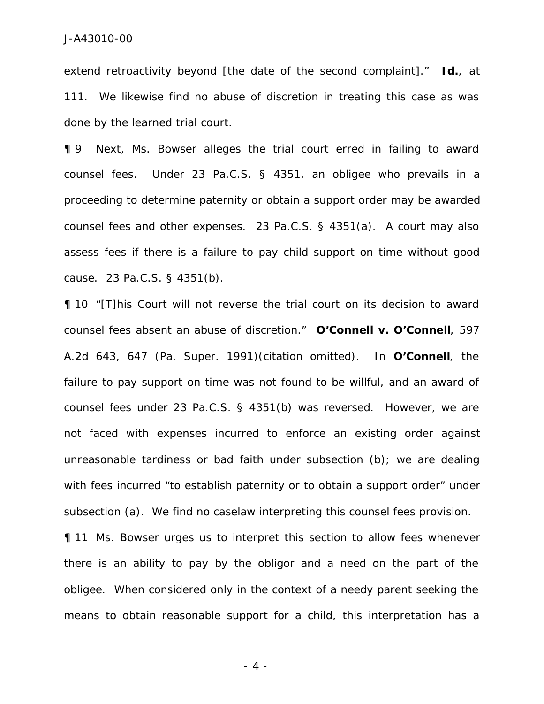extend retroactivity beyond [the date of the second complaint]." *Id.*, at 111. We likewise find no abuse of discretion in treating this case as was done by the learned trial court.

¶ 9 Next, Ms. Bowser alleges the trial court erred in failing to award counsel fees. Under 23 Pa.C.S. § 4351, an obligee who prevails in a proceeding to determine paternity or obtain a support order may be awarded counsel fees and other expenses. 23 Pa.C.S. § 4351(a). A court may also assess fees if there is a failure to pay child support on time without good cause. 23 Pa.C.S. § 4351(b).

¶ 10 "[T]his Court will not reverse the trial court on its decision to award counsel fees absent an abuse of discretion." *O'Connell v. O'Connell*, 597 A.2d 643, 647 (Pa. Super. 1991)(citation omitted). In *O'Connell*, the failure to pay support on time was not found to be willful, and an award of counsel fees under 23 Pa.C.S. § 4351(b) was reversed. However, we are not faced with expenses incurred to enforce an existing order against unreasonable tardiness or bad faith under subsection (b); we are dealing with fees incurred "to establish paternity or to obtain a support order" under subsection (a). We find no caselaw interpreting this counsel fees provision.

¶ 11 Ms. Bowser urges us to interpret this section to allow fees whenever there is an ability to pay by the obligor and a need on the part of the obligee. When considered only in the context of a needy parent seeking the means to obtain reasonable support for a child, this interpretation has a

- 4 -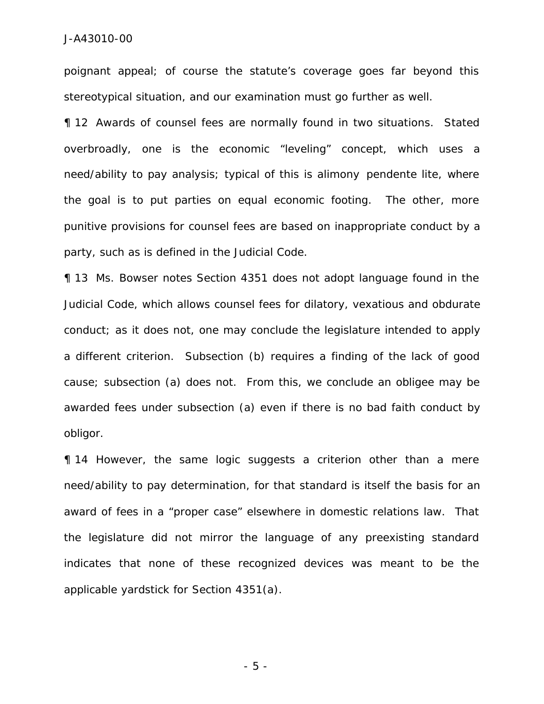poignant appeal; of course the statute's coverage goes far beyond this stereotypical situation, and our examination must go further as well.

¶ 12 Awards of counsel fees are normally found in two situations. Stated overbroadly, one is the economic "leveling" concept, which uses a need/ability to pay analysis; typical of this is alimony *pendente lite*, where the goal is to put parties on equal economic footing. The other, more punitive provisions for counsel fees are based on inappropriate conduct by a party, such as is defined in the Judicial Code.

¶ 13 Ms. Bowser notes Section 4351 does not adopt language found in the Judicial Code, which allows counsel fees for dilatory, vexatious and obdurate conduct; as it does not, one may conclude the legislature intended to apply a different criterion. Subsection (b) requires a finding of the lack of good cause; subsection (a) does not. From this, we conclude an obligee may be awarded fees under subsection (a) even if there is no bad faith conduct by obligor.

¶ 14 However, the same logic suggests a criterion other than a mere need/ability to pay determination, for that standard is itself the basis for an award of fees in a "proper case" elsewhere in domestic relations law. That the legislature did not mirror the language of any preexisting standard indicates that none of these recognized devices was meant to be the applicable yardstick for Section 4351(a).

- 5 -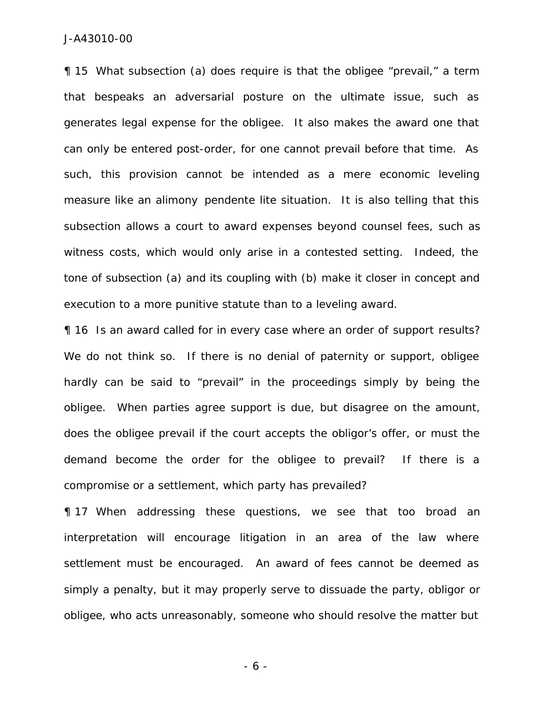¶ 15 What subsection (a) does require is that the obligee "prevail," a term that bespeaks an adversarial posture on the ultimate issue, such as generates legal expense for the obligee. It also makes the award one that can only be entered post-order, for one cannot prevail before that time. As such, this provision cannot be intended as a mere economic leveling measure like an alimony *pendente lite* situation. It is also telling that this subsection allows a court to award expenses beyond counsel fees, such as witness costs, which would only arise in a contested setting. Indeed, the tone of subsection (a) and its coupling with (b) make it closer in concept and execution to a more punitive statute than to a leveling award.

¶ 16 Is an award called for in every case where an order of support results? We do not think so. If there is no denial of paternity or support, obligee hardly can be said to "prevail" in the proceedings simply by being the obligee. When parties agree support is due, but disagree on the amount, does the obligee prevail if the court accepts the obligor's offer, or must the demand become the order for the obligee to prevail? If there is a compromise or a settlement, which party has prevailed?

¶ 17 When addressing these questions, we see that too broad an interpretation will encourage litigation in an area of the law where settlement must be encouraged. An award of fees cannot be deemed as simply a penalty, but it may properly serve to dissuade the party, obligor or obligee, who acts unreasonably, someone who should resolve the matter but

- 6 -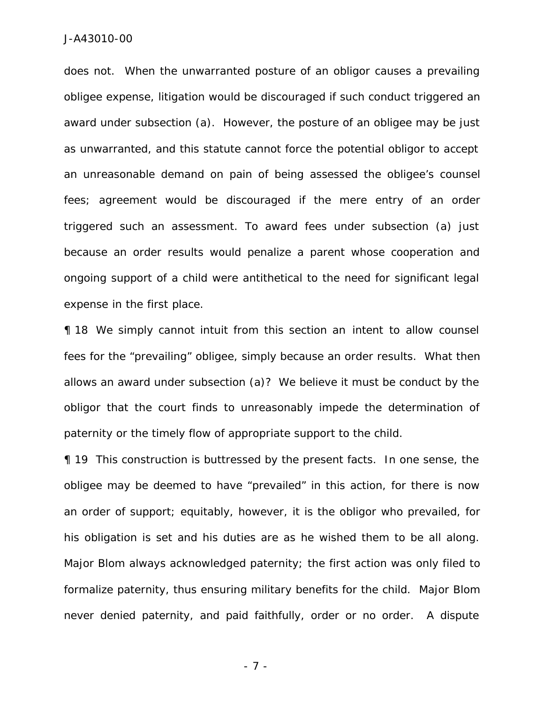does not. When the unwarranted posture of an obligor causes a prevailing obligee expense, litigation would be discouraged if such conduct triggered an award under subsection (a). However, the posture of an obligee may be just as unwarranted, and this statute cannot force the potential obligor to accept an unreasonable demand on pain of being assessed the obligee's counsel fees; agreement would be discouraged if the mere entry of an order triggered such an assessment. To award fees under subsection (a) just because an order results would penalize a parent whose cooperation and ongoing support of a child were antithetical to the need for significant legal expense in the first place.

¶ 18 We simply cannot intuit from this section an intent to allow counsel fees for the "prevailing" obligee, simply because an order results. What then allows an award under subsection (a)? We believe it must be conduct by the obligor that the court finds to unreasonably impede the determination of paternity or the timely flow of appropriate support to the child.

¶ 19 This construction is buttressed by the present facts. In one sense, the obligee may be deemed to have "prevailed" in this action, for there is now an order of support; equitably, however, it is the obligor who prevailed, for his obligation is set and his duties are as he wished them to be all along. Major Blom always acknowledged paternity; the first action was only filed to formalize paternity, thus ensuring military benefits for the child. Major Blom never denied paternity, and paid faithfully, order or no order. A dispute

- 7 -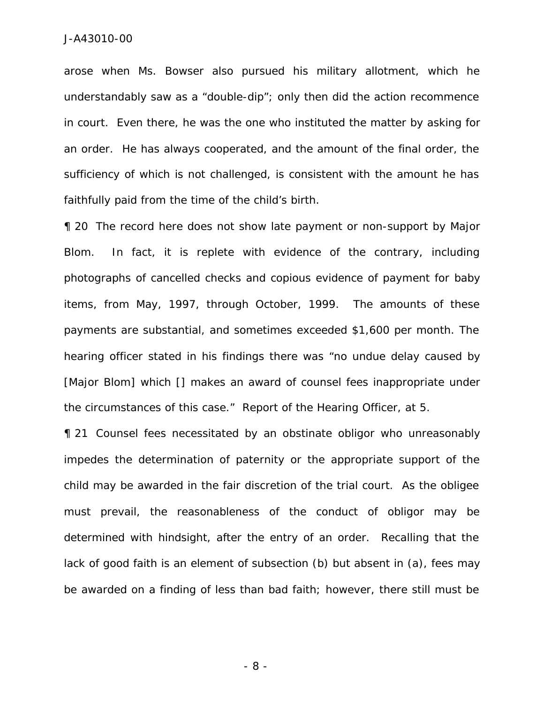arose when Ms. Bowser also pursued his military allotment, which he understandably saw as a "double-dip"; only then did the action recommence in court. Even there, he was the one who instituted the matter by asking for an order. He has always cooperated, and the amount of the final order, the sufficiency of which is not challenged, is consistent with the amount he has faithfully paid from the time of the child's birth.

¶ 20 The record here does not show late payment or non-support by Major Blom. In fact, it is replete with evidence of the contrary, including photographs of cancelled checks and copious evidence of payment for baby items, from May, 1997, through October, 1999. The amounts of these payments are substantial, and sometimes exceeded \$1,600 per month. The hearing officer stated in his findings there was "no undue delay caused by [Major Blom] which [] makes an award of counsel fees inappropriate under the circumstances of this case." Report of the Hearing Officer, at 5.

¶ 21 Counsel fees necessitated by an obstinate obligor who unreasonably impedes the determination of paternity or the appropriate support of the child may be awarded in the fair discretion of the trial court. As the obligee must prevail, the reasonableness of the conduct of obligor may be determined with hindsight, after the entry of an order. Recalling that the lack of good faith is an element of subsection (b) but absent in (a), fees may be awarded on a finding of less than bad faith; however, there still must be

- 8 -